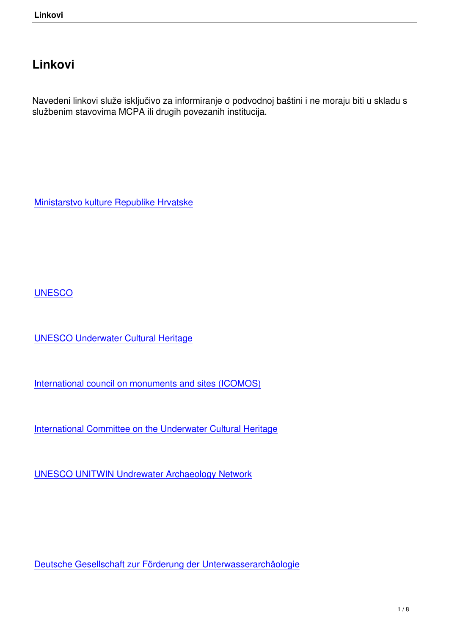## **Linkovi**

Navedeni linkovi služe isključivo za informiranje o podvodnoj baštini i ne moraju biti u skladu s službenim stavovima MCPA ili drugih povezanih institucija.

Ministarstvo kulture Republike Hrvatske

**UNESCO** 

[UNESCO](https://en.unesco.org/) Underwater Cultural Heritage

[International council on monuments and](http://www.unesco.org/new/en/culture/themes/underwater-cultural-heritage/) sites (ICOMOS)

[International Committee on the Underwater Cultural Herit](http://www.international.icomos.org/en/)age

[UNESCO UNITWIN Undrewater Archaeology Network](http://icuch.icomos.org/the-icomos-international-committee-on-the-underwater-cultural-heritage/)

Deutsche Gesellschaft zur Förderung der Unterwasserarchäologie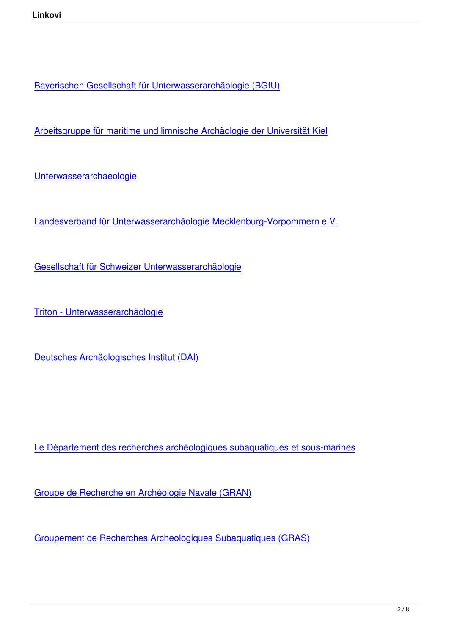Bayerischen Gesellschaft für Unterwasserarchäologie (BGfU)

[Arbeitsgruppe für maritime und limnische Archäologie der Uni](http://www.bgfu.de/)versität Kiel

[Unterwasserarchaeologie](http://www.amla-kiel.de/cms2/)

[Landesverband für Unterw](http://www.unterwasserarchaeologie.de/)asserarchäologie Mecklenburg-Vorpommern e.V.

[Gesellschaft für Schweizer Unterwasserarchäologie](http://www.uwa-mv.de/)

[Triton - Unterwasserarchäologie](https://www.gsu.ch/index.php/home.html)

[Deutsches Archäologisches Inst](https://homepage.univie.ac.at/elisabeth.trinkl/forum/forum0600/15triton.htm)itut (DAI)

Le Département des recherches archéologiques subaquatiques et sous-marines

[Groupe de Recherche en Archéologie Navale \(GRAN\)](http://www.culture.gouv.fr/culture/archeosm/en/fr-act-org1.htm)

[Groupement de Recherches Archeologiques Subaqua](http://www.archeonavale.org/)tiques (GRAS)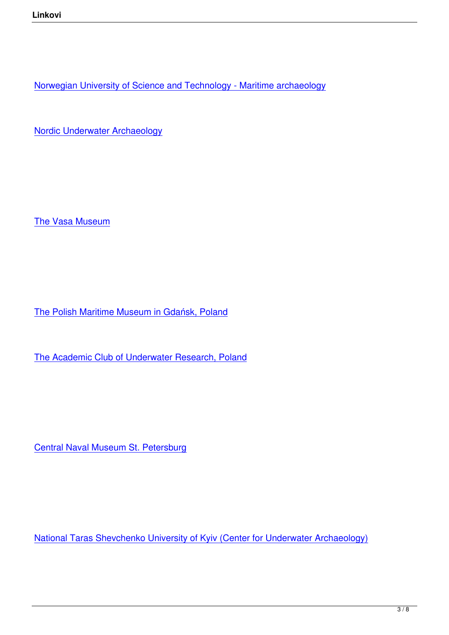Norwegian University of Science and Technology - Maritime archaeology

[Nordic Underwater Archaeology](https://www.ntnu.edu/iak)

The Vasa Museum

The Polish Maritime Museum in Gdańsk, Poland

[The Academic Club of Underwater Research, Po](http://www.cmm.pl/index.php)land

Central Naval Museum St. Petersburg

National Taras Shevchenko University of Kyiv (Center for Underwater Archaeology)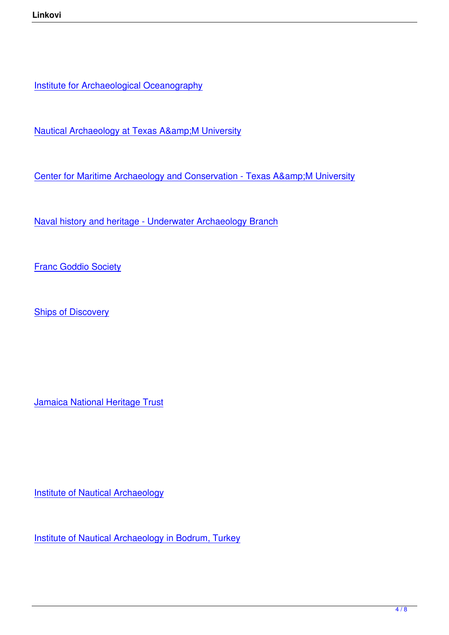**Institute for Archaeological Oceanography** 

Nautical Archaeology at Texas A& M University

[Center for Maritime Archaeology and Conservation -](http://nautarch.tamu.edu/) Texas A& M University

[Naval history and heritage - Underwater Archaeology Branch](http://nautarch.tamu.edu/cmac/)

**[Franc Goddio Society](https://www.history.navy.mil/content/history/nhhc/research/underwater-archaeology.html)** 

**[Ships of Discovery](http://www.underwaterdiscovery.org/)** 

Jamaica National Heritage Trust

**Institute of Nautical Archaeology** 

[Institute of Nautical Archaeology](http://nauticalarch.org/) in Bodrum, Turkey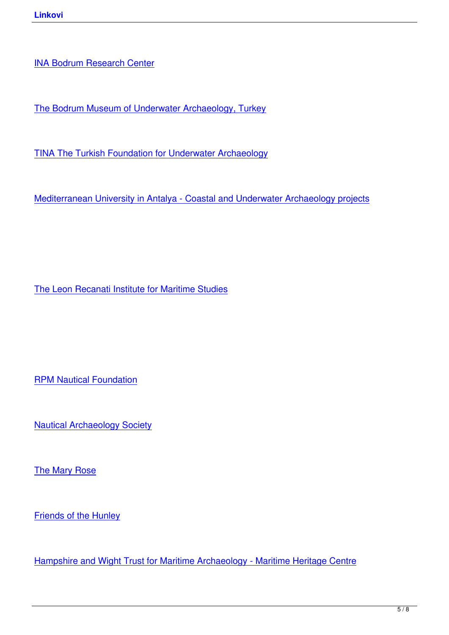[The Bodrum Museum of Unde](https://nauticalarch.org/bodrum-research-center/)rwater Archaeology, Turkey

[TINA The Turkish Foundation for Underwater Archaeology](http://www.bodrum-museum.com/)

[Mediterranean University in Antalya - Coastal and Underwa](http://www.tinaturk.org/e_index.html)ter Archaeology projects

The Leon Recanati Institute for Maritime Studies

RPM Nautical Foundation

[Nautical Archaeology Soc](http://rpmnautical.org/)iety

[The Mary Rose](http://www.nauticalarchaeologysociety.org/)

[Friends of the H](http://www.maryrose.org/)unley

[Hampshire and Wight](http://www.hunley.org/) Trust for Maritime Archaeology - Maritime Heritage Centre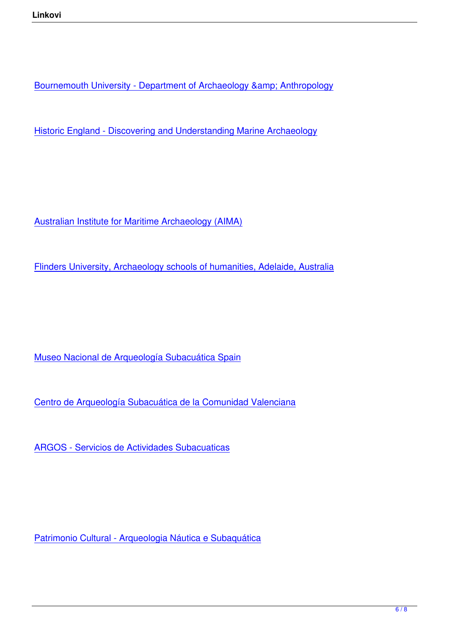Bournemouth University - Department of Archaeology & amp; Anthropology

[Historic England - Discovering and Understanding Marine Archaeology](https://www.bournemouth.ac.uk/about/our-faculties/faculty-science-technology/our-departments/department-archaeology-anthropology)

Australian Institute for Maritime Archaeology (AIMA)

[Flinders University, Archaeology schools of humaniti](http://www.aima-underwater.org.au/)es, Adelaide, Australia

Museo Nacional de Arqueología Subacuática Spain

[Centro de Arqueología Subacuática de la Comunida](http://www.culturaydeporte.gob.es/mnarqua/en/home.html)d Valenciana

[ARGOS - Servicios de Actividades Subacuaticas](http://www.ceice.gva.es/es/web/patrimonio-cultural-y-museos/centro-de-arqueologia-subacuatica)

Patrimonio Cultural - Arqueologia Náutica e Subaquática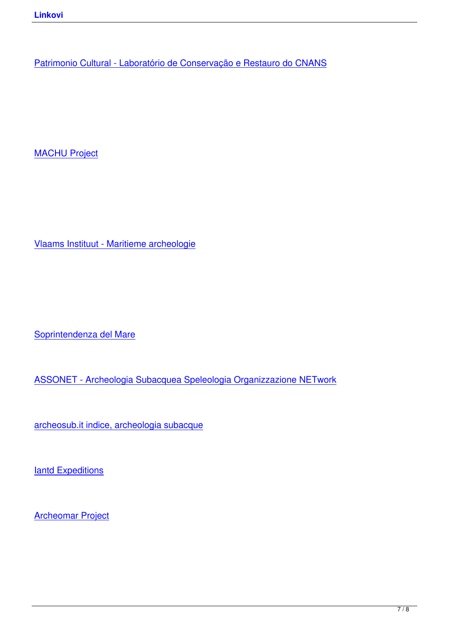MACHU Project

Vlaams Instituut - Maritieme archeologie

Soprintendenza del Mare

[ASSONET - Archeologia](http://www.regione.sicilia.it/beniculturali/archeologiasottomarina/) Subacquea Speleologia Organizzazione NETwork

[archeosub.it indice, archeologia subacque](https://asso-net.blogspot.com/)

**[Iantd Expeditions](http://www.archeosub.it/index.htm)** 

[Archeomar Projec](http://www.iantdexpeditions.com/)t